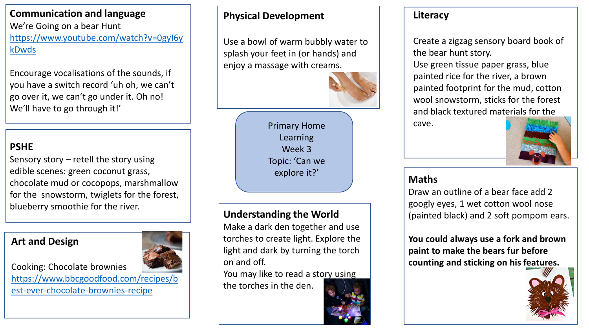# **Communication and language**

We're Going on a bear Hunt [https://www.youtube.com/watch?v=0gyI6y](https://www.youtube.com/watch?v=0gyI6ykDwds) kDwds

Encourage vocalisations of the sounds, if you have a switch record 'uh oh, we can't go over it, we can't go under it. Oh no! We'll have to go through it!'

# **PSHE**

Sensory story – retell the story using edible scenes: green coconut grass, chocolate mud or cocopops, marshmallow for the snowstorm, twiglets for the forest, blueberry smoothie for the river.

#### **Art and Design**

Cooking: Chocolate brownies [https://www.bbcgoodfood.com/recipes/b](https://www.bbcgoodfood.com/recipes/best-ever-chocolate-brownies-recipe) est-ever-chocolate-brownies-recipe



### **Physical Development**

splash your feet in (or hands) and Use a bowl of warm bubbly water to enjoy a massage with creams.



Primary Home Learning Week 3 Topic: 'Can we explore it?'

# **Understanding the World**

Make a dark den together and use torches to create light. Explore the light and dark by turning the torch on and off.

You may like to read a story using the torches in the den.

# **Literacy**

Create a zigzag sensory board book of the bear hunt story.

Use green tissue paper grass, blue painted rice for the river, a brown painted footprint for the mud, cotton wool snowstorm, sticks for the forest and black textured materials for the cave.



### **Maths**

Draw an outline of a bear face add 2 googly eyes, 1 wet cotton wool nose (painted black) and 2 soft pompom ears.

**You could always use a fork and brown paint to make the bears fur before counting and sticking on his features.**